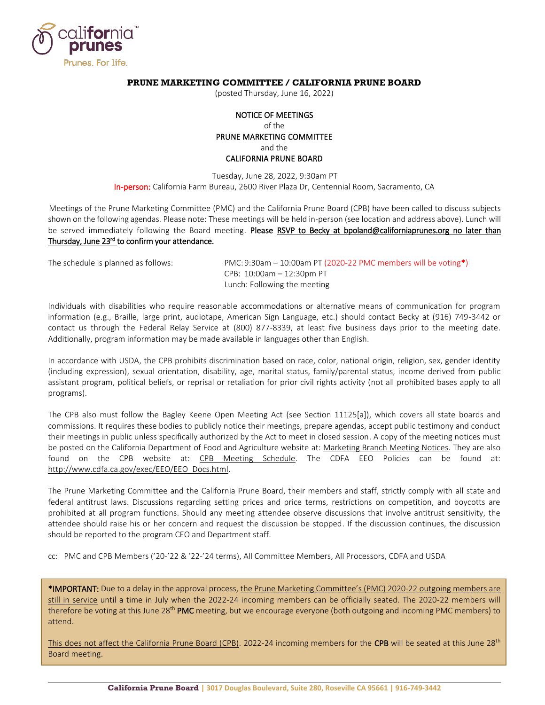

# **PRUNE MARKETING COMMITTEE / CALIFORNIA PRUNE BOARD**

(posted Thursday, June 16, 2022)

# NOTICE OF MEETINGS of the PRUNE MARKETING COMMITTEE and the CALIFORNIA PRUNE BOARD

Tuesday, June 28, 2022, 9:30am PT In-person: California Farm Bureau, 2600 River Plaza Dr, Centennial Room, Sacramento, CA

Meetings of the Prune Marketing Committee (PMC) and the California Prune Board (CPB) have been called to discuss subjects shown on the following agendas. Please note: These meetings will be held in-person (see location and address above). Lunch will be served immediately following the Board meeting. Please RSVP to Becky at [bpoland@californiaprunes.org](mailto:bpoland@californiaprunes.org) no later than Thursday, June 23rd to confirm your attendance.

The schedule is planned as follows: PMC:9:30am – 10:00am PT (2020-22 PMC members will be voting\*) CPB: 10:00am – 12:30pm PT Lunch: Following the meeting

Individuals with disabilities who require reasonable accommodations or alternative means of communication for program information (e.g., Braille, large print, audiotape, American Sign Language, etc.) should contact Becky at (916) 749-3442 or contact us through the Federal Relay Service at (800) 877-8339, at least five business days prior to the meeting date. Additionally, program information may be made available in languages other than English.

In accordance with USDA, the CPB prohibits discrimination based on race, color, national origin, religion, sex, gender identity (including expression), sexual orientation, disability, age, marital status, family/parental status, income derived from public assistant program, political beliefs, or reprisal or retaliation for prior civil rights activity (not all prohibited bases apply to all programs).

The CPB also must follow the Bagley Keene Open Meeting Act (see Section 11125[a]), which covers all state boards and commissions. It requires these bodies to publicly notice their meetings, prepare agendas, accept public testimony and conduct their meetings in public unless specifically authorized by the Act to meet in closed session. A copy of the meeting notices must be posted on the California Department of Food and Agriculture website at: [Marketing Branch Meeting Notices.](https://it.cdfa.ca.gov/igov/postings/detail.aspx?type=Notices) They are also found on the CPB website at: [CPB Meeting Schedule.](https://californiaprunes.org/meetings/) The CDFA EEO Policies can be found at: [http://www.cdfa.ca.gov/exec/EEO/EEO\\_Docs.html.](http://www.cdfa.ca.gov/exec/EEO/EEO_Docs.html)

The Prune Marketing Committee and the California Prune Board, their members and staff, strictly comply with all state and federal antitrust laws. Discussions regarding setting prices and price terms, restrictions on competition, and boycotts are prohibited at all program functions. Should any meeting attendee observe discussions that involve antitrust sensitivity, the attendee should raise his or her concern and request the discussion be stopped. If the discussion continues, the discussion should be reported to the program CEO and Department staff.

cc: PMC and CPB Members ('20-'22 & '22-'24 terms), All Committee Members, All Processors, CDFA and USDA

\*IMPORTANT: Due to a delay in the approval process, the Prune Marketing Committee's (PMC) 2020-22 outgoing members are still in service until a time in July when the 2022-24 incoming members can be officially seated. The 2020-22 members will therefore be voting at this June 28<sup>th</sup> PMC meeting, but we encourage everyone (both outgoing and incoming PMC members) to attend.

This does not affect the California Prune Board (CPB). 2022-24 incoming members for the CPB will be seated at this June  $28<sup>th</sup>$ Board meeting.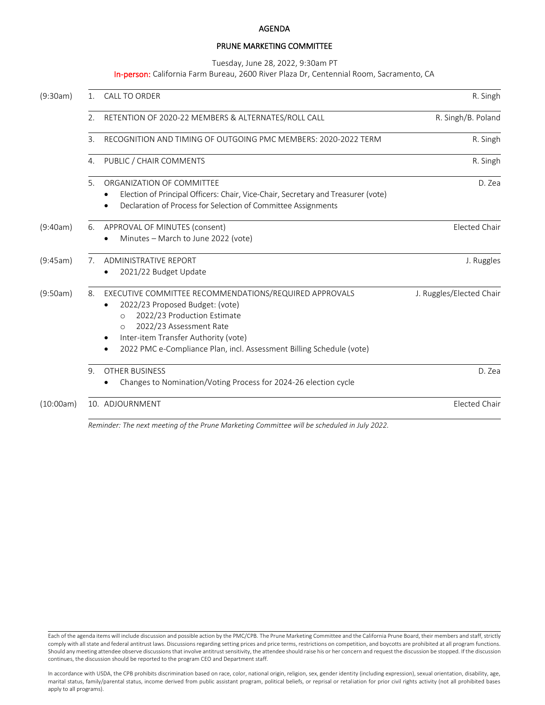#### AGENDA

# PRUNE MARKETING COMMITTEE

Tuesday, June 28, 2022, 9:30am PT

In-person: California Farm Bureau, 2600 River Plaza Dr, Centennial Room, Sacramento, CA

| (9:30am)  | 1. | <b>CALL TO ORDER</b>                                                                                                                                                                                                                                                                      | R. Singh                 |
|-----------|----|-------------------------------------------------------------------------------------------------------------------------------------------------------------------------------------------------------------------------------------------------------------------------------------------|--------------------------|
|           | 2. | RETENTION OF 2020-22 MEMBERS & ALTERNATES/ROLL CALL                                                                                                                                                                                                                                       | R. Singh/B. Poland       |
|           | 3. | RECOGNITION AND TIMING OF OUTGOING PMC MEMBERS: 2020-2022 TERM                                                                                                                                                                                                                            | R. Singh                 |
|           | 4. | PUBLIC / CHAIR COMMENTS                                                                                                                                                                                                                                                                   | R. Singh                 |
|           | 5. | ORGANIZATION OF COMMITTEE<br>Election of Principal Officers: Chair, Vice-Chair, Secretary and Treasurer (vote)<br>Declaration of Process for Selection of Committee Assignments                                                                                                           | D. Zea                   |
| (9:40am)  | 6. | APPROVAL OF MINUTES (consent)<br>Minutes - March to June 2022 (vote)                                                                                                                                                                                                                      | <b>Elected Chair</b>     |
| (9:45am)  | 7. | <b>ADMINISTRATIVE REPORT</b><br>2021/22 Budget Update                                                                                                                                                                                                                                     | J. Ruggles               |
| (9:50am)  | 8. | EXECUTIVE COMMITTEE RECOMMENDATIONS/REQUIRED APPROVALS<br>2022/23 Proposed Budget: (vote)<br>2022/23 Production Estimate<br>$\circ$<br>2022/23 Assessment Rate<br>$\circ$<br>Inter-item Transfer Authority (vote)<br>2022 PMC e-Compliance Plan, incl. Assessment Billing Schedule (vote) | J. Ruggles/Elected Chair |
|           | 9. | <b>OTHER BUSINESS</b><br>Changes to Nomination/Voting Process for 2024-26 election cycle                                                                                                                                                                                                  | D. Zea                   |
| (10:00am) |    | 10. ADJOURNMENT                                                                                                                                                                                                                                                                           | <b>Elected Chair</b>     |

Reminder: The next meeting of the Prune Marketing Committee will be scheduled in July 2022.

Each of the agenda items will include discussion and possible action by the PMC/CPB. The Prune Marketing Committee and the California Prune Board, their members and staff, strictly comply with all state and federal antitrust laws. Discussions regarding setting prices and price terms, restrictions on competition, and boycotts are prohibited at all program functions. Should any meeting attendee observe discussions that involve antitrust sensitivity, the attendee should raise his or her concern and request the discussion be stopped. If the discussion continues, the discussion should be reported to the program CEO and Department staff.

In accordance with USDA, the CPB prohibits discrimination based on race, color, national origin, religion, sex, gender identity (including expression), sexual orientation, disability, age, marital status, family/parental status, income derived from public assistant program, political beliefs, or reprisal or retaliation for prior civil rights activity (not all prohibited bases apply to all programs).